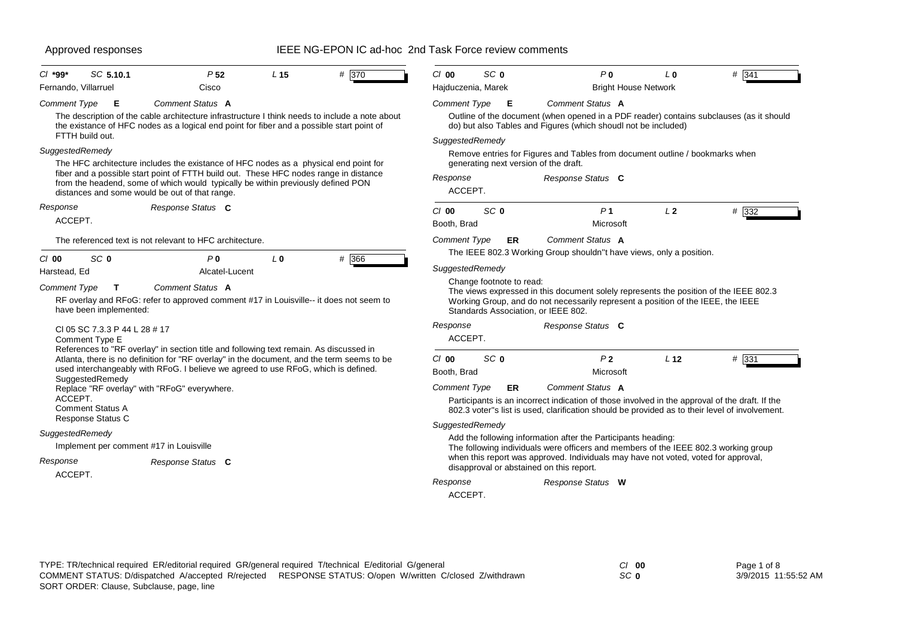| SC 5.10.1<br>$Cl$ *99*                                                                                                                                                                                                                   | P <sub>52</sub>                                                                                                                                                                                                                                                                                                                                                                                                                                                              | L <sub>15</sub> | # 370 | $Cl$ 00                                                                                 | SC <sub>0</sub>                                                                           | P <sub>0</sub>                                                                                                                                                                                                                                                                                                                                                                                                                                                                                                                      | L <sub>0</sub>  | # 341 |
|------------------------------------------------------------------------------------------------------------------------------------------------------------------------------------------------------------------------------------------|------------------------------------------------------------------------------------------------------------------------------------------------------------------------------------------------------------------------------------------------------------------------------------------------------------------------------------------------------------------------------------------------------------------------------------------------------------------------------|-----------------|-------|-----------------------------------------------------------------------------------------|-------------------------------------------------------------------------------------------|-------------------------------------------------------------------------------------------------------------------------------------------------------------------------------------------------------------------------------------------------------------------------------------------------------------------------------------------------------------------------------------------------------------------------------------------------------------------------------------------------------------------------------------|-----------------|-------|
| Fernando, Villarruel                                                                                                                                                                                                                     | Cisco                                                                                                                                                                                                                                                                                                                                                                                                                                                                        |                 |       | Hajduczenia, Marek                                                                      |                                                                                           | <b>Bright House Network</b>                                                                                                                                                                                                                                                                                                                                                                                                                                                                                                         |                 |       |
| <b>Comment Type</b><br>Е<br>FTTH build out.                                                                                                                                                                                              | Comment Status A<br>The description of the cable architecture infrastructure I think needs to include a note about<br>the existance of HFC nodes as a logical end point for fiber and a possible start point of                                                                                                                                                                                                                                                              |                 |       | <b>Comment Type</b>                                                                     | Е                                                                                         | Comment Status A<br>Outline of the document (when opened in a PDF reader) contains subclauses (as it should<br>do) but also Tables and Figures (which shoudl not be included)                                                                                                                                                                                                                                                                                                                                                       |                 |       |
| SuggestedRemedy                                                                                                                                                                                                                          | The HFC architecture includes the existance of HFC nodes as a physical end point for<br>fiber and a possible start point of FTTH build out. These HFC nodes range in distance<br>from the headend, some of which would typically be within previously defined PON<br>distances and some would be out of that range.                                                                                                                                                          |                 |       | SuggestedRemedy<br>Response<br>ACCEPT.                                                  | generating next version of the draft.                                                     | Remove entries for Figures and Tables from document outline / bookmarks when<br>Response Status C                                                                                                                                                                                                                                                                                                                                                                                                                                   |                 |       |
| Response<br>ACCEPT.                                                                                                                                                                                                                      | Response Status C                                                                                                                                                                                                                                                                                                                                                                                                                                                            |                 |       | $Cl$ 00<br>Booth, Brad                                                                  | SC <sub>0</sub>                                                                           | P <sub>1</sub><br>Microsoft                                                                                                                                                                                                                                                                                                                                                                                                                                                                                                         | L <sub>2</sub>  | # 332 |
|                                                                                                                                                                                                                                          | The referenced text is not relevant to HFC architecture.                                                                                                                                                                                                                                                                                                                                                                                                                     |                 |       | <b>Comment Type</b>                                                                     | ER                                                                                        | Comment Status A                                                                                                                                                                                                                                                                                                                                                                                                                                                                                                                    |                 |       |
| SC <sub>0</sub><br>C/00<br>Harstead, Ed<br><b>Comment Type</b><br>$\mathbf T$<br>have been implemented:<br>CI 05 SC 7.3.3 P 44 L 28 # 17<br>Comment Type E<br>SuggestedRemedy<br>ACCEPT.<br><b>Comment Status A</b><br>Response Status C | P <sub>0</sub><br>Alcatel-Lucent<br>Comment Status A<br>RF overlay and RFoG: refer to approved comment #17 in Louisville-- it does not seem to<br>References to "RF overlay" in section title and following text remain. As discussed in<br>Atlanta, there is no definition for "RF overlay" in the document, and the term seems to be<br>used interchangeably with RFoG. I believe we agreed to use RFoG, which is defined.<br>Replace "RF overlay" with "RFoG" everywhere. | L <sub>0</sub>  | # 366 | SuggestedRemedy<br>Response<br>ACCEPT.<br>$Cl$ 00<br>Booth, Brad<br><b>Comment Type</b> | Change footnote to read:<br>Standards Association, or IEEE 802.<br>SC <sub>0</sub><br>ER. | The IEEE 802.3 Working Group shouldn"t have views, only a position.<br>The views expressed in this document solely represents the position of the IEEE 802.3<br>Working Group, and do not necessarily represent a position of the IEEE, the IEEE<br>Response Status C<br>P <sub>2</sub><br>Microsoft<br><b>Comment Status A</b><br>Participants is an incorrect indication of those involved in the approval of the draft. If the<br>802.3 voter"s list is used, clarification should be provided as to their level of involvement. | L <sub>12</sub> | # 331 |
| SuggestedRemedy<br>Response<br>ACCEPT.                                                                                                                                                                                                   | Implement per comment #17 in Louisville<br>Response Status C                                                                                                                                                                                                                                                                                                                                                                                                                 |                 |       | SuggestedRemedy<br>Response<br>ACCEPT.                                                  |                                                                                           | Add the following information after the Participants heading:<br>The following individuals were officers and members of the IEEE 802.3 working group<br>when this report was approved. Individuals may have not voted, voted for approval,<br>disapproval or abstained on this report.<br>Response Status W                                                                                                                                                                                                                         |                 |       |

| Page 1 of 8 |                      |
|-------------|----------------------|
|             | 3/9/2015 11:55:52 AM |

*SC* **0**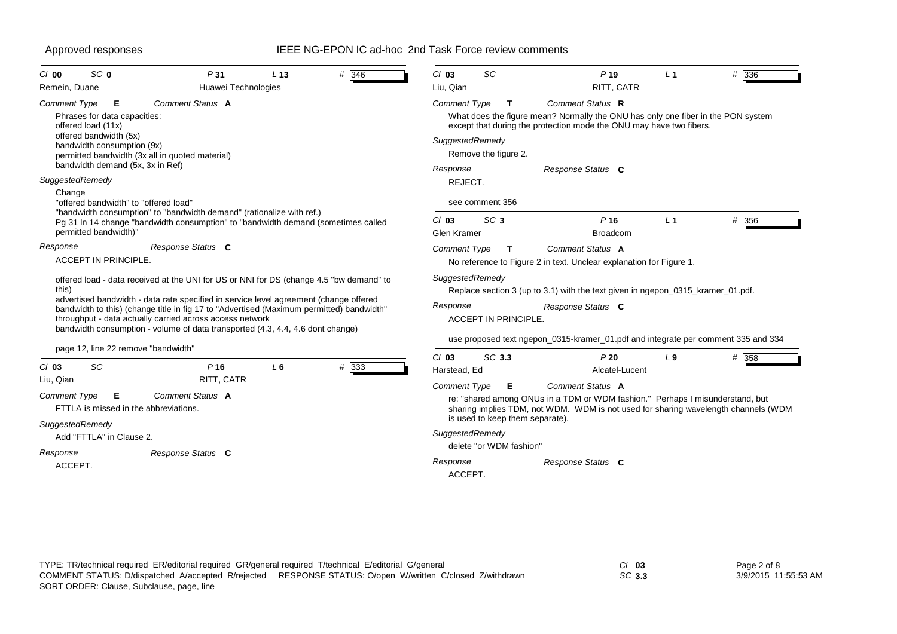| SC <sub>0</sub><br>$Cl$ 00                                          | P31                                                                                                                                                                                                                                                                                                                                                                                                                                                               | L <sub>13</sub> | # 346 | $Cl$ 03                                | SC                                   | P <sub>19</sub>                                                                                                                                                                           | L <sub>1</sub> | # 336   |
|---------------------------------------------------------------------|-------------------------------------------------------------------------------------------------------------------------------------------------------------------------------------------------------------------------------------------------------------------------------------------------------------------------------------------------------------------------------------------------------------------------------------------------------------------|-----------------|-------|----------------------------------------|--------------------------------------|-------------------------------------------------------------------------------------------------------------------------------------------------------------------------------------------|----------------|---------|
| Remein, Duane                                                       | Huawei Technologies                                                                                                                                                                                                                                                                                                                                                                                                                                               |                 |       | Liu, Qian                              |                                      | RITT, CATR                                                                                                                                                                                |                |         |
| <b>Comment Type</b><br>offered load (11x)<br>offered bandwidth (5x) | Comment Status A<br>Е<br>Phrases for data capacities:<br>bandwidth consumption (9x)<br>permitted bandwidth (3x all in quoted material)                                                                                                                                                                                                                                                                                                                            |                 |       | <b>Comment Type</b><br>SuggestedRemedy | $\mathbf{T}$<br>Remove the figure 2. | Comment Status R<br>What does the figure mean? Normally the ONU has only one fiber in the PON system<br>except that during the protection mode the ONU may have two fibers.               |                |         |
| SuggestedRemedy                                                     | bandwidth demand (5x, 3x in Ref)                                                                                                                                                                                                                                                                                                                                                                                                                                  |                 |       | Response<br>REJECT.                    |                                      | Response Status C                                                                                                                                                                         |                |         |
| Change<br>permitted bandwidth)"                                     | "offered bandwidth" to "offered load"<br>"bandwidth consumption" to "bandwidth demand" (rationalize with ref.)<br>Pg 31 In 14 change "bandwidth consumption" to "bandwidth demand (sometimes called                                                                                                                                                                                                                                                               |                 |       | $Cl$ 03<br><b>Glen Kramer</b>          | see comment 356<br>SC <sub>3</sub>   | P <sub>16</sub><br><b>Broadcom</b>                                                                                                                                                        | L <sub>1</sub> | # 356   |
| Response<br>ACCEPT IN PRINCIPLE.                                    | Response Status C                                                                                                                                                                                                                                                                                                                                                                                                                                                 |                 |       | <b>Comment Type</b>                    | т                                    | Comment Status A<br>No reference to Figure 2 in text. Unclear explanation for Figure 1.                                                                                                   |                |         |
| this)                                                               | offered load - data received at the UNI for US or NNI for DS (change 4.5 "bw demand" to<br>advertised bandwidth - data rate specified in service level agreement (change offered<br>bandwidth to this) (change title in fig 17 to "Advertised (Maximum permitted) bandwidth"<br>throughput - data actually carried across access network<br>bandwidth consumption - volume of data transported (4.3, 4.4, 4.6 dont change)<br>page 12, line 22 remove "bandwidth" |                 |       | SuggestedRemedy<br>Response            | <b>ACCEPT IN PRINCIPLE</b>           | Replace section 3 (up to 3.1) with the text given in ngepon_0315_kramer_01.pdf.<br>Response Status C<br>use proposed text ngepon_0315-kramer_01.pdf and integrate per comment 335 and 334 |                |         |
| <b>SC</b><br>$Cl$ 03                                                | P <sub>16</sub>                                                                                                                                                                                                                                                                                                                                                                                                                                                   | L6              | # 333 | $Cl$ 03<br>Harstead, Ed                | SC 3.3                               | P20<br>Alcatel-Lucent                                                                                                                                                                     | L <sub>9</sub> | $#$ 358 |
| Liu, Qian<br>Comment Type                                           | RITT, CATR<br>Comment Status A<br>Е<br>FTTLA is missed in the abbreviations.                                                                                                                                                                                                                                                                                                                                                                                      |                 |       | <b>Comment Type</b>                    | Е<br>is used to keep them separate). | Comment Status A<br>re: "shared among ONUs in a TDM or WDM fashion." Perhaps I misunderstand, but<br>sharing implies TDM, not WDM. WDM is not used for sharing wavelength channels (WDM   |                |         |
| SuggestedRemedy                                                     | Add "FTTLA" in Clause 2.                                                                                                                                                                                                                                                                                                                                                                                                                                          |                 |       | SuggestedRemedy                        | delete "or WDM fashion"              |                                                                                                                                                                                           |                |         |
| Response<br>ACCEPT.                                                 | Response Status C                                                                                                                                                                                                                                                                                                                                                                                                                                                 |                 |       | Response<br>ACCEPT.                    |                                      | Response Status C                                                                                                                                                                         |                |         |
|                                                                     |                                                                                                                                                                                                                                                                                                                                                                                                                                                                   |                 |       |                                        |                                      |                                                                                                                                                                                           |                |         |

| Page 2 of 8 |                      |  |
|-------------|----------------------|--|
|             | 3/9/2015 11:55:53 AM |  |

*SC* **3.3**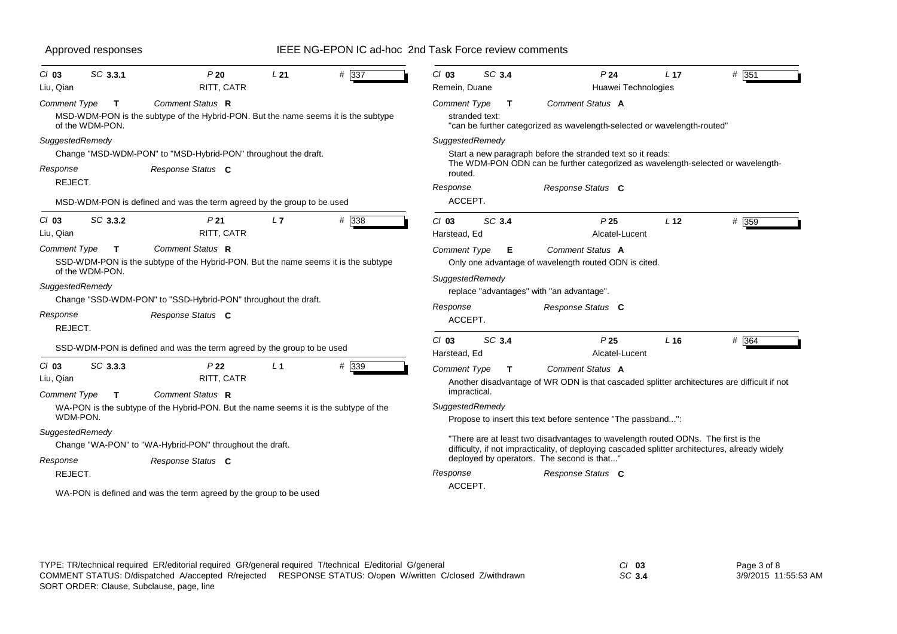| Approved responses                                           |                                                                                                               |                 | IEEE NG-EPON IC ad-hoc 2nd Task Force review comments |                                     |                      |                                                                                                                                                                                      |                 |       |
|--------------------------------------------------------------|---------------------------------------------------------------------------------------------------------------|-----------------|-------------------------------------------------------|-------------------------------------|----------------------|--------------------------------------------------------------------------------------------------------------------------------------------------------------------------------------|-----------------|-------|
| SC 3.3.1<br>$Cl$ 03<br>Liu, Qian                             | P20<br>RITT, CATR                                                                                             | L <sub>21</sub> | # 337                                                 | $Cl$ 03<br>Remein, Duane            | SC 3.4               | P <sub>24</sub><br>Huawei Technologies                                                                                                                                               | L <sub>17</sub> | # 351 |
| Comment Type<br>T<br>of the WDM-PON.                         | <b>Comment Status R</b><br>MSD-WDM-PON is the subtype of the Hybrid-PON. But the name seems it is the subtype |                 |                                                       | <b>Comment Type</b>                 | Т<br>stranded text:  | Comment Status A<br>"can be further categorized as wavelength-selected or wavelength-routed"                                                                                         |                 |       |
| SuggestedRemedy                                              | Change "MSD-WDM-PON" to "MSD-Hybrid-PON" throughout the draft.                                                |                 |                                                       |                                     | SuggestedRemedy      | Start a new paragraph before the stranded text so it reads:<br>The WDM-PON ODN can be further categorized as wavelength-selected or wavelength-                                      |                 |       |
| Response<br>REJECT.                                          | Response Status C<br>MSD-WDM-PON is defined and was the term agreed by the group to be used                   |                 |                                                       | routed.<br>Response<br>ACCEPT.      |                      | Response Status C                                                                                                                                                                    |                 |       |
| SC 3.3.2<br>$Cl$ 03<br>Liu, Qian                             | P <sub>21</sub><br>RITT, CATR                                                                                 | L7              | # 338                                                 | $Cl$ 03<br>Harstead, Ed             | SC 3.4               | P <sub>25</sub><br>Alcatel-Lucent                                                                                                                                                    | L <sub>12</sub> | # 359 |
| Comment Type<br>T<br>of the WDM-PON.<br>SuggestedRemedy      | Comment Status R<br>SSD-WDM-PON is the subtype of the Hybrid-PON. But the name seems it is the subtype        |                 |                                                       | <b>Comment Type</b>                 | Е<br>SuggestedRemedy | Comment Status A<br>Only one advantage of wavelength routed ODN is cited.                                                                                                            |                 |       |
|                                                              | Change "SSD-WDM-PON" to "SSD-Hybrid-PON" throughout the draft.                                                |                 |                                                       |                                     |                      | replace "advantages" with "an advantage".                                                                                                                                            |                 |       |
| Response<br>REJECT.                                          | Response Status C                                                                                             |                 |                                                       | Response<br>ACCEPT.                 |                      | Response Status C                                                                                                                                                                    |                 |       |
|                                                              | SSD-WDM-PON is defined and was the term agreed by the group to be used                                        |                 |                                                       | $Cl$ 03<br>Harstead, Ed             | SC 3.4               | P <sub>25</sub><br>Alcatel-Lucent                                                                                                                                                    | L16             | # 364 |
| SC 3.3.3<br>$Cl$ 03<br>Liu, Qian<br><b>Comment Type</b><br>T | P <sub>22</sub><br>RITT, CATR<br>Comment Status R                                                             | $L_1$           | # 339                                                 | <b>Comment Type</b><br>impractical. | Т                    | Comment Status A<br>Another disadvantage of WR ODN is that cascaded splitter architectures are difficult if not                                                                      |                 |       |
| WDM-PON.                                                     | WA-PON is the subtype of the Hybrid-PON. But the name seems it is the subtype of the                          |                 |                                                       |                                     | SuggestedRemedy      | Propose to insert this text before sentence "The passband":                                                                                                                          |                 |       |
| SuggestedRemedy                                              | Change "WA-PON" to "WA-Hybrid-PON" throughout the draft.                                                      |                 |                                                       |                                     |                      | "There are at least two disadvantages to wavelength routed ODNs. The first is the<br>difficulty, if not impracticality, of deploying cascaded splitter architectures, already widely |                 |       |
| Response<br>REJECT.                                          | Response Status C                                                                                             |                 |                                                       | Response                            |                      | deployed by operators. The second is that"<br>Response Status C                                                                                                                      |                 |       |
|                                                              | WA-PON is defined and was the term agreed by the group to be used                                             |                 |                                                       | ACCEPT.                             |                      |                                                                                                                                                                                      |                 |       |

| TYPE: TR/technical required ER/editorial required GR/general required T/technical E/editorial G/general |                                                                                                           | $Cl$ 03 |
|---------------------------------------------------------------------------------------------------------|-----------------------------------------------------------------------------------------------------------|---------|
|                                                                                                         | COMMENT STATUS: D/dispatched A/accepted R/rejected RESPONSE STATUS: O/open W/written C/closed Z/withdrawn | SC 3.4  |
| SORT ORDER: Clause, Subclause, page, line                                                               |                                                                                                           |         |

Page 3 of 8 3/9/2015 11:55:53 AM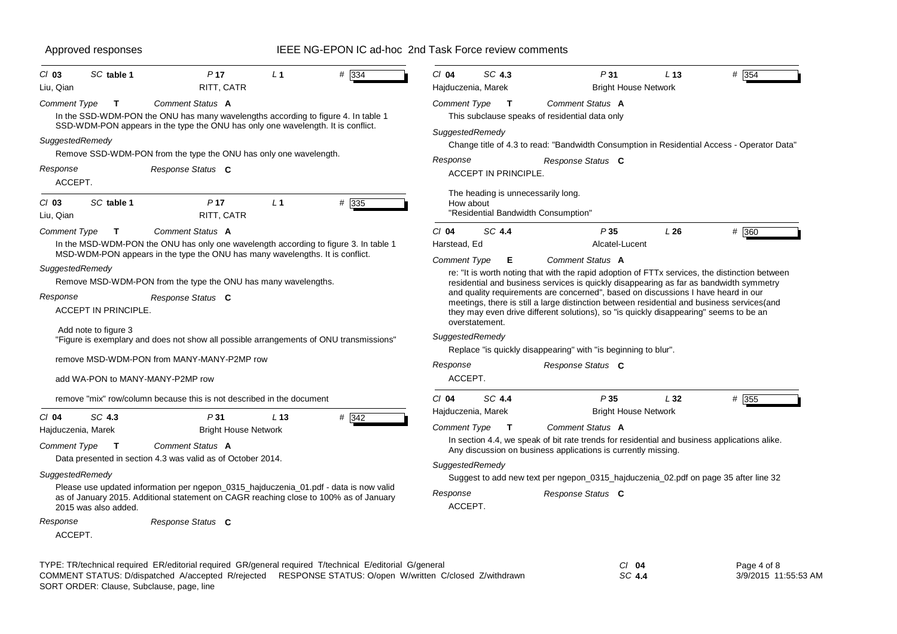| SC table 1<br>$Cl$ 03                                                                                                                     | P <sub>17</sub>                                                                                                                                                                                                                                                                                                              | L <sub>1</sub>  | $#$ 334  | $Cl$ 04                                                | SC 4.3                               | P31                                                                                                                                                                                                                                                                                                                                                                                                                                                       | L <sub>13</sub>             | # 354                                                                                          |
|-------------------------------------------------------------------------------------------------------------------------------------------|------------------------------------------------------------------------------------------------------------------------------------------------------------------------------------------------------------------------------------------------------------------------------------------------------------------------------|-----------------|----------|--------------------------------------------------------|--------------------------------------|-----------------------------------------------------------------------------------------------------------------------------------------------------------------------------------------------------------------------------------------------------------------------------------------------------------------------------------------------------------------------------------------------------------------------------------------------------------|-----------------------------|------------------------------------------------------------------------------------------------|
| Liu, Qian<br>Comment Type<br>T<br>SuggestedRemedy                                                                                         | RITT, CATR<br>Comment Status A<br>In the SSD-WDM-PON the ONU has many wavelengths according to figure 4. In table 1<br>SSD-WDM-PON appears in the type the ONU has only one wavelength. It is conflict.                                                                                                                      |                 |          | SuggestedRemedy                                        | Hajduczenia, Marek<br>Comment Type T | Comment Status A<br>This subclause speaks of residential data only                                                                                                                                                                                                                                                                                                                                                                                        | <b>Bright House Network</b> | Change title of 4.3 to read: "Bandwidth Consumption in Residential Access - Operator Data"     |
|                                                                                                                                           | Remove SSD-WDM-PON from the type the ONU has only one wavelength.                                                                                                                                                                                                                                                            |                 |          |                                                        |                                      |                                                                                                                                                                                                                                                                                                                                                                                                                                                           |                             |                                                                                                |
| Response<br>ACCEPT.                                                                                                                       | Response Status C                                                                                                                                                                                                                                                                                                            |                 |          | Response                                               | <b>ACCEPT IN PRINCIPLE.</b>          | Response Status C                                                                                                                                                                                                                                                                                                                                                                                                                                         |                             |                                                                                                |
| $Cl$ 03<br>SC table 1<br>Liu, Qian                                                                                                        | P <sub>17</sub><br>RITT, CATR                                                                                                                                                                                                                                                                                                | L <sub>1</sub>  | # 335    | How about                                              | The heading is unnecessarily long.   | "Residential Bandwidth Consumption"                                                                                                                                                                                                                                                                                                                                                                                                                       |                             |                                                                                                |
| Comment Type<br>$\mathsf{T}$                                                                                                              | Comment Status A                                                                                                                                                                                                                                                                                                             |                 |          | $Cl$ 04                                                | SC 4.4                               | P35                                                                                                                                                                                                                                                                                                                                                                                                                                                       | L26                         | $# \overline{360}$                                                                             |
|                                                                                                                                           | In the MSD-WDM-PON the ONU has only one wavelength according to figure 3. In table 1<br>MSD-WDM-PON appears in the type the ONU has many wavelengths. It is conflict.                                                                                                                                                        |                 |          | Harstead, Ed                                           |                                      |                                                                                                                                                                                                                                                                                                                                                                                                                                                           | Alcatel-Lucent              |                                                                                                |
| SuggestedRemedy<br>Response<br><b>ACCEPT IN PRINCIPLE.</b><br>Add note to figure 3<br>add WA-PON to MANY-MANY-P2MP row                    | Remove MSD-WDM-PON from the type the ONU has many wavelengths.<br>Response Status C<br>"Figure is exemplary and does not show all possible arrangements of ONU transmissions"<br>remove MSD-WDM-PON from MANY-MANY-P2MP row                                                                                                  |                 |          | SuggestedRemedy<br>Response<br>ACCEPT.                 | overstatement.                       | residential and business services is quickly disappearing as far as bandwidth symmetry<br>and quality requirements are concerned", based on discussions I have heard in our<br>meetings, there is still a large distinction between residential and business services(and<br>they may even drive different solutions), so "is quickly disappearing" seems to be an<br>Replace "is quickly disappearing" with "is beginning to blur".<br>Response Status C |                             | re: "It is worth noting that with the rapid adoption of FTTx services, the distinction between |
|                                                                                                                                           | remove "mix" row/column because this is not described in the document                                                                                                                                                                                                                                                        |                 |          | $Cl$ 04                                                | SC 4.4                               | P35                                                                                                                                                                                                                                                                                                                                                                                                                                                       | L32                         | # 355                                                                                          |
| $Cl$ 04<br>SC 4.3<br>Hajduczenia, Marek<br>Comment Type<br>$\mathbf{T}$<br>SuggestedRemedy<br>2015 was also added.<br>Response<br>ACCEPT. | P31<br><b>Bright House Network</b><br>Comment Status A<br>Data presented in section 4.3 was valid as of October 2014.<br>Please use updated information per ngepon_0315_hajduczenia_01.pdf - data is now valid<br>as of January 2015. Additional statement on CAGR reaching close to 100% as of January<br>Response Status C | L <sub>13</sub> | $\#$ 342 | Comment Type<br>SuggestedRemedy<br>Response<br>ACCEPT. | Hajduczenia, Marek<br>$\mathbf{T}$   | Comment Status A<br>In section 4.4, we speak of bit rate trends for residential and business applications alike.<br>Any discussion on business applications is currently missing.<br>Suggest to add new text per ngepon_0315_hajduczenia_02.pdf on page 35 after line 32<br>Response Status C                                                                                                                                                             | <b>Bright House Network</b> |                                                                                                |
| SORT ORDER: Clause, Subclause, page, line                                                                                                 | TYPE: TR/technical required ER/editorial required GR/general required T/technical E/editorial G/general<br>COMMENT STATUS: D/dispatched A/accepted R/rejected RESPONSE STATUS: O/open W/written C/closed Z/withdrawn                                                                                                         |                 |          |                                                        |                                      |                                                                                                                                                                                                                                                                                                                                                                                                                                                           | $Cl$ 04<br>SC 4.4           | Page 4 of 8<br>3/9/2015 11:55:53 AM                                                            |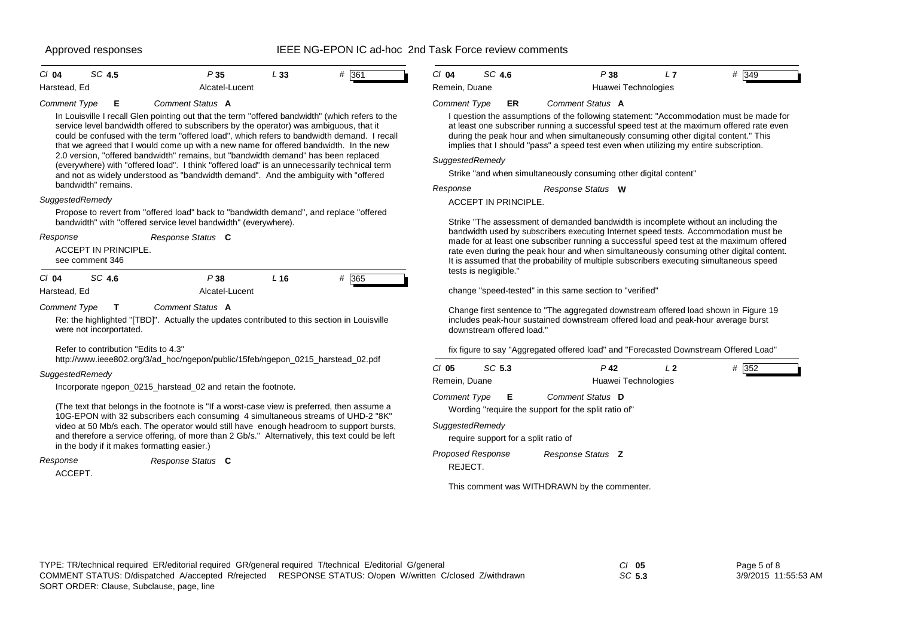## Approved responses Testing The Reset of the IEEE NG-EPON IC ad-hoc 2nd Task Force review comments

| CI 04        | SC 4.5 | P35            | L 33 | # 361 |  |
|--------------|--------|----------------|------|-------|--|
| Harstead, Ed |        | Alcatel-Lucent |      |       |  |

### *Comment Type* **E** *Comment Status* **A**

In Louisville I recall Glen pointing out that the term "offered bandwidth" (which refers to the service level bandwidth offered to subscribers by the operator) was ambiguous, that it could be confused with the term "offered load", which refers to bandwidth demand. I recall that we agreed that I would come up with a new name for offered bandwidth. In the new 2.0 version, "offered bandwidth" remains, but "bandwidth demand" has been replaced (everywhere) with "offered load". I think "offered load" is an unnecessarily technical term and not as widely understood as "bandwidth demand". And the ambiguity with "offered bandwidth" remains.

## *SuggestedRemedy*

Propose to revert from "offered load" back to "bandwidth demand", and replace "offered bandwidth" with "offered service level bandwidth" (everywhere).

| Response            |                                         | Response Status C |      |          |
|---------------------|-----------------------------------------|-------------------|------|----------|
|                     | ACCEPT IN PRINCIPLE.<br>see comment 346 |                   |      |          |
| $Cl$ 04             | SC 4.6                                  | P 38              | L 16 | #<br>365 |
| Harstead, Ed        |                                         | Alcatel-Lucent    |      |          |
| <b>Comment Type</b> |                                         | Comment Status A  |      |          |

Re: the highlighted "[TBD]". Actually the updates contributed to this section in Louisville were not incorportated.

Refer to contribution "Edits to 4.3"

http://www.ieee802.org/3/ad\_hoc/ngepon/public/15feb/ngepon\_0215\_harstead\_02.pdf

### *SuggestedRemedy*

Incorporate ngepon\_0215\_harstead\_02 and retain the footnote.

(The text that belongs in the footnote is "If a worst-case view is preferred, then assume a 10G-EPON with 32 subscribers each consuming 4 simultaneous streams of UHD-2 "8K" video at 50 Mb/s each. The operator would still have enough headroom to support bursts, and therefore a service offering, of more than 2 Gb/s." Alternatively, this text could be left in the body if it makes formatting easier.)

```
ACCEPT.Response Status C
Response
```

| C/ 04         | SC 4.6 | P38 |                     | # 349 |
|---------------|--------|-----|---------------------|-------|
| Remein. Duane |        |     | Huawei Technologies |       |

### *Comment Type* **ER** *Comment Status* **A**

I question the assumptions of the following statement: "Accommodation must be made for at least one subscriber running a successful speed test at the maximum offered rate even during the peak hour and when simultaneously consuming other digital content." This implies that I should "pass" a speed test even when utilizing my entire subscription.

### *SuggestedRemedy*

Strike "and when simultaneously consuming other digital content"

*Response Status* **W** *Response*

ACCEPT IN PRINCIPLE.

Strike "The assessment of demanded bandwidth is incomplete without an including the bandwidth used by subscribers executing Internet speed tests. Accommodation must be made for at least one subscriber running a successful speed test at the maximum offered rate even during the peak hour and when simultaneously consuming other digital content. It is assumed that the probability of multiple subscribers executing simultaneous speed tests is negligible."

change "speed-tested" in this same section to "verified"

Change first sentence to "The aggregated downstream offered load shown in Figure 19 includes peak-hour sustained downstream offered load and peak-hour average burst downstream offered load."

fix figure to say "Aggregated offered load" and "Forecasted Downstream Offered Load"

| $CI$ 05<br>Remein, Duane | SC 5.3                               | P 42<br>Huawei Technologies                                              | L <sub>2</sub> | 352<br># |
|--------------------------|--------------------------------------|--------------------------------------------------------------------------|----------------|----------|
| <b>Comment Type</b>      | Е                                    | Comment Status D<br>Wording "require the support for the split ratio of" |                |          |
| SuggestedRemedy          | require support for a split ratio of |                                                                          |                |          |
| REJECT.                  | Proposed Response                    | Response Status <b>Z</b>                                                 |                |          |

This comment was WITHDRAWN by the commenter.

| TYPE: TR/technical required ER/editorial required GR/general required T/technical E/editorial G/general   | $Cl$ 05 | Page 5 of 8          |
|-----------------------------------------------------------------------------------------------------------|---------|----------------------|
| COMMENT STATUS: D/dispatched A/accepted R/rejected RESPONSE STATUS: O/open W/written C/closed Z/withdrawn | SC 5.3  | 3/9/2015 11:55:53 AM |
| SORT ORDER: Clause, Subclause, page, line                                                                 |         |                      |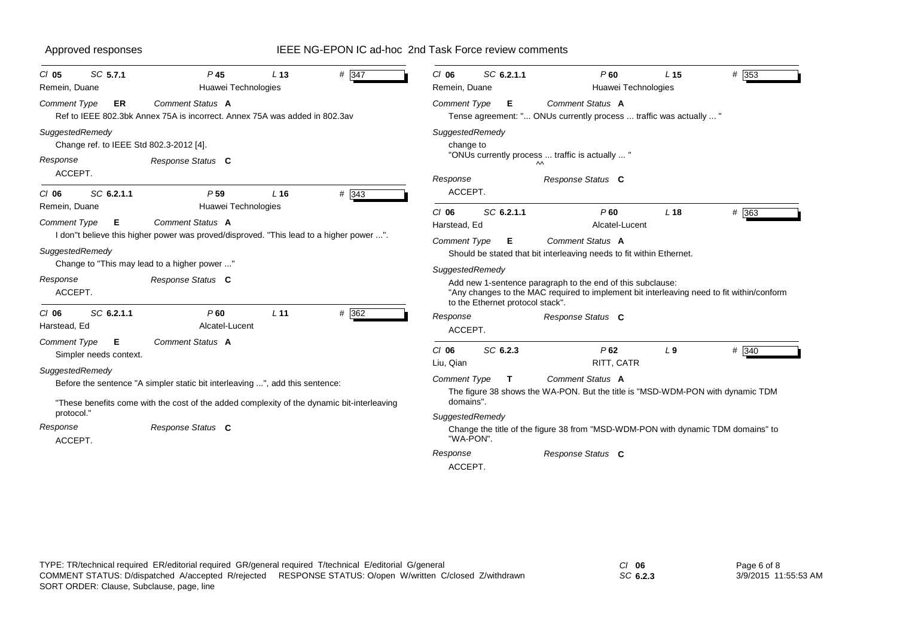| SC 5.7.1<br>$CI$ 05<br>Remein, Duane                                                                                                                                                                                                                                           | P <sub>45</sub><br>Huawei Technologies                                                                                                                       | L <sub>13</sub> | # 347                                                                       | $CI$ 06<br>Remein, Duane                               | SC 6.2.1.1                                                                                                              | P60<br>Huawei Technologies                                                                                                                                                                                                                                            | L <sub>15</sub> | # $353$ |
|--------------------------------------------------------------------------------------------------------------------------------------------------------------------------------------------------------------------------------------------------------------------------------|--------------------------------------------------------------------------------------------------------------------------------------------------------------|-----------------|-----------------------------------------------------------------------------|--------------------------------------------------------|-------------------------------------------------------------------------------------------------------------------------|-----------------------------------------------------------------------------------------------------------------------------------------------------------------------------------------------------------------------------------------------------------------------|-----------------|---------|
| <b>Comment Type</b><br><b>ER</b>                                                                                                                                                                                                                                               | Comment Status A<br>Ref to IEEE 802.3bk Annex 75A is incorrect. Annex 75A was added in 802.3av                                                               |                 |                                                                             | Comment Type                                           | Е                                                                                                                       | Comment Status A<br>Tense agreement: " ONUs currently process  traffic was actually  "                                                                                                                                                                                |                 |         |
| SuggestedRemedy<br>Change ref. to IEEE Std 802.3-2012 [4].<br>Response<br>ACCEPT.                                                                                                                                                                                              | Response Status C                                                                                                                                            |                 |                                                                             | SuggestedRemedy<br>change to<br>Response               |                                                                                                                         | "ONUs currently process  traffic is actually  "<br>$\sim$<br>Response Status C                                                                                                                                                                                        |                 |         |
| SC 6.2.1.1<br>$CI$ 06<br>Remein, Duane                                                                                                                                                                                                                                         | P <sub>59</sub><br>Huawei Technologies<br>Comment Status A                                                                                                   | $L$ 16          | # 343                                                                       | ACCEPT.<br>$CI$ 06                                     | SC 6.2.1.1                                                                                                              | P60                                                                                                                                                                                                                                                                   | L18             | # 363   |
| Comment Type<br>Е<br>SuggestedRemedy<br>Response<br>ACCEPT.                                                                                                                                                                                                                    | I don"t believe this higher power was proved/disproved. "This lead to a higher power ".<br>Change to "This may lead to a higher power "<br>Response Status C |                 |                                                                             | Harstead, Ed<br><b>Comment Type</b><br>SuggestedRemedy | Е<br>to the Ethernet protocol stack".                                                                                   | Alcatel-Lucent<br>Comment Status A<br>Should be stated that bit interleaving needs to fit within Ethernet.<br>Add new 1-sentence paragraph to the end of this subclause:<br>"Any changes to the MAC required to implement bit interleaving need to fit within/conform |                 |         |
| SC 6.2.1.1<br>$CI$ 06<br>Harstead, Ed                                                                                                                                                                                                                                          | $P$ 60<br>Alcatel-Lucent                                                                                                                                     | L <sub>11</sub> | $# \overline{362}$                                                          | Response<br>ACCEPT.                                    |                                                                                                                         | Response Status C                                                                                                                                                                                                                                                     |                 |         |
| Comment Status A<br>Comment Type<br>E<br>Simpler needs context.<br>SuggestedRemedy<br>Before the sentence "A simpler static bit interleaving ", add this sentence:<br>"These benefits come with the cost of the added complexity of the dynamic bit-interleaving<br>protocol." |                                                                                                                                                              |                 | $CI$ 06<br>Liu, Qian<br><b>Comment Type</b><br>domains".<br>SuggestedRemedy | SC 6.2.3<br>T                                          | P62<br>RITT, CATR<br>Comment Status A<br>The figure 38 shows the WA-PON. But the title is "MSD-WDM-PON with dynamic TDM | L <sub>9</sub>                                                                                                                                                                                                                                                        | # 340           |         |
| Response<br>ACCEPT.                                                                                                                                                                                                                                                            | Response Status C                                                                                                                                            |                 |                                                                             | "WA-PON".<br>Response<br>ACCEPT.                       |                                                                                                                         | Change the title of the figure 38 from "MSD-WDM-PON with dynamic TDM domains" to<br>Response Status C                                                                                                                                                                 |                 |         |

*SC* **6.2.3**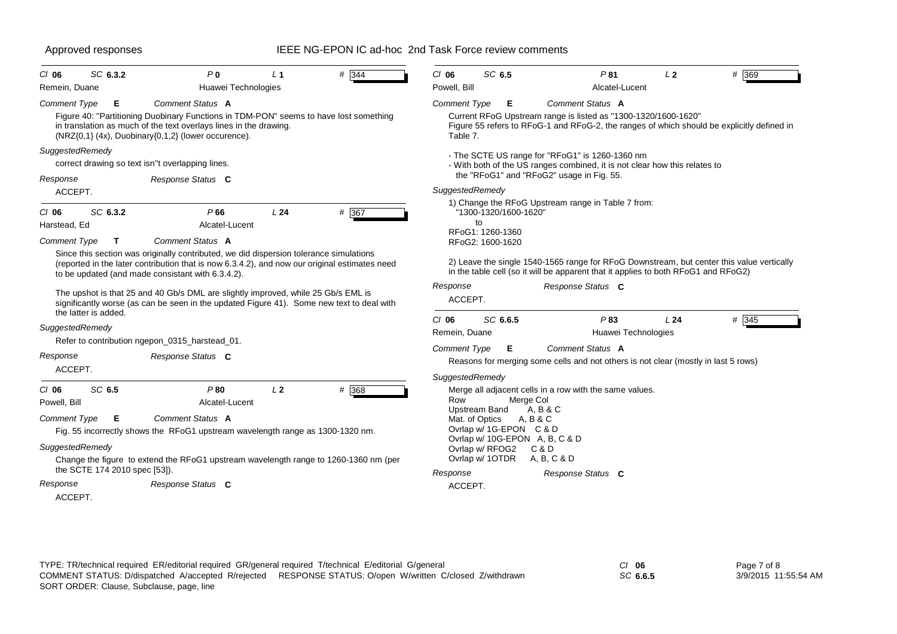| $CI$ 06<br>Remein, Duane                                          | SC 6.3.2                                     | P <sub>0</sub><br>Huawei Technologies                                                                                                                                                                                                                                                                                                                                                                                          | L <sub>1</sub> | # 344                                                                                                                                                                                                                                                                                         | $CI$ 06<br>Powell, Bill                   | SC 6.5                               | P81<br>Alcatel-Lucent                                                                                                                                                                                | L <sub>2</sub> | # 369 |  |
|-------------------------------------------------------------------|----------------------------------------------|--------------------------------------------------------------------------------------------------------------------------------------------------------------------------------------------------------------------------------------------------------------------------------------------------------------------------------------------------------------------------------------------------------------------------------|----------------|-----------------------------------------------------------------------------------------------------------------------------------------------------------------------------------------------------------------------------------------------------------------------------------------------|-------------------------------------------|--------------------------------------|------------------------------------------------------------------------------------------------------------------------------------------------------------------------------------------------------|----------------|-------|--|
| Comment Type                                                      | Е                                            | Comment Status A                                                                                                                                                                                                                                                                                                                                                                                                               |                |                                                                                                                                                                                                                                                                                               | <b>Comment Type</b>                       | Е                                    | Comment Status A                                                                                                                                                                                     |                |       |  |
|                                                                   |                                              | Figure 40: "Partitioning Duobinary Functions in TDM-PON" seems to have lost something<br>in translation as much of the text overlays lines in the drawing.<br>$(NRZ{0,1} \ (4x), Dubinary{0,1,2} (lower occurrence).$                                                                                                                                                                                                          |                |                                                                                                                                                                                                                                                                                               | Table 7.                                  |                                      | Current RFoG Upstream range is listed as "1300-1320/1600-1620"<br>Figure 55 refers to RFoG-1 and RFoG-2, the ranges of which should be explicitly defined in                                         |                |       |  |
| SuggestedRemedy                                                   |                                              | correct drawing so text isn"t overlapping lines.                                                                                                                                                                                                                                                                                                                                                                               |                |                                                                                                                                                                                                                                                                                               |                                           |                                      | - The SCTE US range for "RFoG1" is 1260-1360 nm<br>- With both of the US ranges combined, it is not clear how this relates to                                                                        |                |       |  |
| Response                                                          | Response Status C                            |                                                                                                                                                                                                                                                                                                                                                                                                                                |                |                                                                                                                                                                                                                                                                                               | the "RFoG1" and "RFoG2" usage in Fig. 55. |                                      |                                                                                                                                                                                                      |                |       |  |
| ACCEPT.                                                           |                                              |                                                                                                                                                                                                                                                                                                                                                                                                                                |                |                                                                                                                                                                                                                                                                                               | SuggestedRemedy                           |                                      |                                                                                                                                                                                                      |                |       |  |
| $CI$ 06<br>Harstead, Ed                                           | SC 6.3.2                                     | P66<br>Alcatel-Lucent                                                                                                                                                                                                                                                                                                                                                                                                          | L24            | # 367                                                                                                                                                                                                                                                                                         |                                           | "1300-1320/1600-1620"<br>to          | 1) Change the RFoG Upstream range in Table 7 from:                                                                                                                                                   |                |       |  |
| <b>Comment Type</b>                                               | $\mathbf{T}$                                 | Comment Status A                                                                                                                                                                                                                                                                                                                                                                                                               |                |                                                                                                                                                                                                                                                                                               |                                           | RFoG1: 1260-1360<br>RFoG2: 1600-1620 |                                                                                                                                                                                                      |                |       |  |
|                                                                   | the latter is added.                         | Since this section was originally contributed, we did dispersion tolerance simulations<br>(reported in the later contribution that is now 6.3.4.2), and now our original estimates need<br>to be updated (and made consistant with 6.3.4.2).<br>The upshot is that 25 and 40 Gb/s DML are slightly improved, while 25 Gb/s EML is<br>significantly worse (as can be seen in the updated Figure 41). Some new text to deal with |                |                                                                                                                                                                                                                                                                                               | Response<br>ACCEPT.                       |                                      | 2) Leave the single 1540-1565 range for RFoG Downstream, but center this value vertically<br>in the table cell (so it will be apparent that it applies to both RFoG1 and RFoG2)<br>Response Status C |                |       |  |
| SuggestedRemedy                                                   |                                              |                                                                                                                                                                                                                                                                                                                                                                                                                                |                |                                                                                                                                                                                                                                                                                               | $CI$ 06                                   | SC 6.6.5                             | P83                                                                                                                                                                                                  | L24            | # 345 |  |
|                                                                   |                                              | Refer to contribution ngepon_0315_harstead_01.                                                                                                                                                                                                                                                                                                                                                                                 |                |                                                                                                                                                                                                                                                                                               | Remein, Duane                             |                                      | Huawei Technologies                                                                                                                                                                                  |                |       |  |
| Response<br>ACCEPT.                                               |                                              | Response Status C                                                                                                                                                                                                                                                                                                                                                                                                              |                |                                                                                                                                                                                                                                                                                               | <b>Comment Type</b>                       | E                                    | Comment Status A<br>Reasons for merging some cells and not others is not clear (mostly in last 5 rows)                                                                                               |                |       |  |
| $CI$ 06<br>Powell, Bill<br><b>Comment Type</b><br>SuggestedRemedy | SC 6.5<br>E<br>the SCTE 174 2010 spec [53]). | P80<br>Alcatel-Lucent<br>Comment Status A<br>Fig. 55 incorrectly shows the RFoG1 upstream wavelength range as 1300-1320 nm.<br>Change the figure to extend the RFoG1 upstream wavelength range to 1260-1360 nm (per                                                                                                                                                                                                            | L <sub>2</sub> | SuggestedRemedy<br># 368<br>Merge all adjacent cells in a row with the same values.<br>Row<br>Merge Col<br>Upstream Band<br>A, B & C<br>Mat. of Optics<br>A, B & C<br>Ovrlap w/ 1G-EPON C & D<br>Ovrlap w/ 10G-EPON A, B, C & D<br>Ovrlap w/ RFOG2<br>C & D<br>Ovrlap w/ 1OTDR<br>A, B, C & D |                                           |                                      |                                                                                                                                                                                                      |                |       |  |
| Response<br>ACCEPT.                                               |                                              | Response Status C                                                                                                                                                                                                                                                                                                                                                                                                              |                |                                                                                                                                                                                                                                                                                               | Response<br>ACCEPT.                       |                                      | Response Status C                                                                                                                                                                                    |                |       |  |

| C/ 06    | Page 7 of 8          |
|----------|----------------------|
| SC 6.6.5 | 3/9/2015 11:55:54 AM |